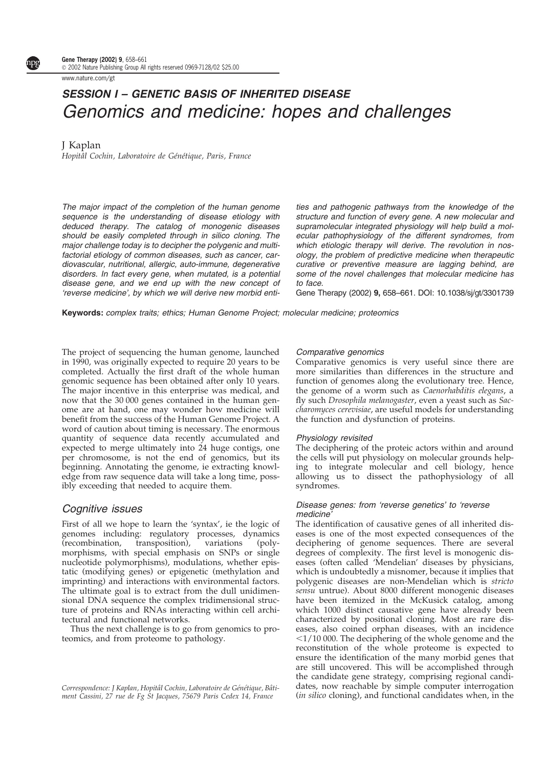www.nature.com/gt

# **SESSION I – GENETIC BASIS OF INHERITED DISEASE** Genomics and medicine: hopes and challenges

J Kaplan

*Hopitâl Cochin, Laboratoire de Génétique, Paris, France* 

The major impact of the completion of the human genome sequence is the understanding of disease etiology with deduced therapy. The catalog of monogenic diseases should be easily completed through in silico cloning. The major challenge today is to decipher the polygenic and multifactorial etiology of common diseases, such as cancer, cardiovascular, nutritional, allergic, auto-immune, degenerative disorders. In fact every gene, when mutated, is a potential disease gene, and we end up with the new concept of 'reverse medicine', by which we will derive new morbid enti-

ties and pathogenic pathways from the knowledge of the structure and function of every gene. A new molecular and supramolecular integrated physiology will help build a molecular pathophysiology of the different syndromes, from which etiologic therapy will derive. The revolution in nosology, the problem of predictive medicine when therapeutic curative or preventive measure are lagging behind, are some of the novel challenges that molecular medicine has to face.

Gene Therapy (2002) **9,** 658–661. DOI: 10.1038/sj/gt/3301739

**Keywords:** complex traits; ethics; Human Genome Project; molecular medicine; proteomics

The project of sequencing the human genome, launched in 1990, was originally expected to require 20 years to be completed. Actually the first draft of the whole human genomic sequence has been obtained after only 10 years. The major incentive in this enterprise was medical, and now that the 30 000 genes contained in the human genome are at hand, one may wonder how medicine will benefit from the success of the Human Genome Project. A word of caution about timing is necessary. The enormous quantity of sequence data recently accumulated and expected to merge ultimately into 24 huge contigs, one per chromosome, is not the end of genomics, but its beginning. Annotating the genome, ie extracting knowledge from raw sequence data will take a long time, possibly exceeding that needed to acquire them.

## Cognitive issues

First of all we hope to learn the 'syntax', ie the logic of genomes including: regulatory processes, dynamics (recombination, transposition), variations (polymorphisms, with special emphasis on SNPs or single nucleotide polymorphisms), modulations, whether epistatic (modifying genes) or epigenetic (methylation and imprinting) and interactions with environmental factors. The ultimate goal is to extract from the dull unidimensional DNA sequence the complex tridimensional structure of proteins and RNAs interacting within cell architectural and functional networks.

Thus the next challenge is to go from genomics to proteomics, and from proteome to pathology.

## Correspondence: J Kaplan, Hopitâl Cochin, Laboratoire de Génétique, Bâti*ment Cassini, 27 rue de Fg St Jacques, 75679 Paris Cedex 14, France*

#### Comparative genomics

Comparative genomics is very useful since there are more similarities than differences in the structure and function of genomes along the evolutionary tree. Hence, the genome of a worm such as *Caenorhabditis elegans*, a fly such *Drosophila melanogaster*, even a yeast such as *Saccharomyces cerevisiae*, are useful models for understanding the function and dysfunction of proteins.

#### Physiology revisited

The deciphering of the proteic actors within and around the cells will put physiology on molecular grounds helping to integrate molecular and cell biology, hence allowing us to dissect the pathophysiology of all syndromes.

## Disease genes: from 'reverse genetics' to 'reverse medicine'

The identification of causative genes of all inherited diseases is one of the most expected consequences of the deciphering of genome sequences. There are several degrees of complexity. The first level is monogenic diseases (often called 'Mendelian' diseases by physicians, which is undoubtedly a misnomer, because it implies that polygenic diseases are non-Mendelian which is *stricto sensu* untrue). About 8000 different monogenic diseases have been itemized in the McKusick catalog, among which 1000 distinct causative gene have already been characterized by positional cloning. Most are rare diseases, also coined orphan diseases, with an incidence  $\langle 1/10\,000$ . The deciphering of the whole genome and the reconstitution of the whole proteome is expected to ensure the identification of the many morbid genes that are still uncovered. This will be accomplished through the candidate gene strategy, comprising regional candidates, now reachable by simple computer interrogation (*in silico* cloning), and functional candidates when, in the

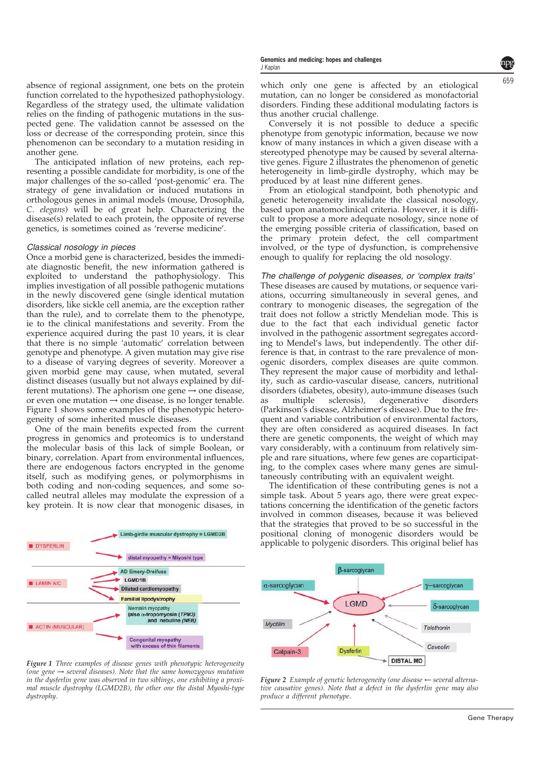absence of regional assignment, one bets on the protein which only one gene is affected by an etiological by  $\frac{659}{2}$ function correlated to the hypothesized pathophysiology. Regardless of the strategy used, the ultimate validation relies on the finding of pathogenic mutations in the suspected gene. The validation cannot be assessed on the loss or decrease of the corresponding protein, since this

phenomenon can be secondary to a mutation residing in another gene. The anticipated inflation of new proteins, each representing a possible candidate for morbidity, is one of the major challenges of the so-called 'post-genomic' era. The strategy of gene invalidation or induced mutations in orthologous genes in animal models (mouse, Drosophila, *C. elegans*) will be of great help. Characterizing the disease(s) related to each protein, the opposite of reverse

genetics, is sometimes coined as 'reverse medicine'.

#### Classical nosology in pieces

Once a morbid gene is characterized, besides the immediate diagnostic benefit, the new information gathered is exploited to understand the pathophysiology. This implies investigation of all possible pathogenic mutations in the newly discovered gene (single identical mutation disorders, like sickle cell anemia, are the exception rather than the rule), and to correlate them to the phenotype, ie to the clinical manifestations and severity. From the experience acquired during the past 10 years, it is clear that there is no simple 'automatic' correlation between genotype and phenotype. A given mutation may give rise to a disease of varying degrees of severity. Moreover a given morbid gene may cause, when mutated, several distinct diseases (usually but not always explained by different mutations). The aphorism one gene  $\rightarrow$  one disease, or even one mutation  $\rightarrow$  one disease, is no longer tenable. Figure 1 shows some examples of the phenotypic heterogeneity of some inherited muscle diseases.

One of the main benefits expected from the current progress in genomics and proteomics is to understand the molecular basis of this lack of simple Boolean, or binary, correlation. Apart from environmental influences, there are endogenous factors encrypted in the genome itself, such as modifying genes, or polymorphisms in both coding and non-coding sequences, and some socalled neutral alleles may modulate the expression of a key protein. It is now clear that monogenic disases, in

Limb-girdle muscular dystrophy = LGMD2B DYSFERLIN distal myopathy = Miyoshi type **AD Emery-Dreifuss** LGMD1B LAMIN A/C Dilated cardiomyopathy **Familial lipodystrophy** Nemalin myopathy (also  $\alpha$ -tropomyosin (TPM3)<br>and nebuline (NEB) ACTIN (MUSCULAR) Congenital myopathy<br>with excess of thin filaments

*Figure 1 Three examples of disease genes with phenotypic heterogeneity (one gene* → *several diseases). Note that the same homozygous mutation in the dysferlin gene was observed in two siblings, one exhibiting a proximal muscle dystrophy (LGMD2B), the other one the distal Myoshi-type dystrophy.*

mutation, can no longer be considered as monofactorial disorders. Finding these additional modulating factors is thus another crucial challenge.

Conversely it is not possible to deduce a specific phenotype from genotypic information, because we now know of many instances in which a given disease with a stereotyped phenotype may be caused by several alternative genes. Figure 2 illustrates the phenomenon of genetic heterogeneity in limb-girdle dystrophy, which may be produced by at least nine different genes.

From an etiological standpoint, both phenotypic and genetic heterogeneity invalidate the classical nosology, based upon anatomoclinical criteria. However, it is difficult to propose a more adequate nosology, since none of the emerging possible criteria of classification, based on the primary protein defect, the cell compartment involved, or the type of dysfunction, is comprehensive enough to qualify for replacing the old nosology.

## The challenge of polygenic diseases, or 'complex traits'

These diseases are caused by mutations, or sequence variations, occurring simultaneously in several genes, and contrary to monogenic diseases, the segregation of the trait does not follow a strictly Mendelian mode. This is due to the fact that each individual genetic factor involved in the pathogenic assortment segregates according to Mendel's laws, but independently. The other difference is that, in contrast to the rare prevalence of monogenic disorders, complex diseases are quite common. They represent the major cause of morbidity and lethality, such as cardio-vascular disease, cancers, nutritional disorders (diabetes, obesity), auto-immune diseases (such as multiple sclerosis), degenerative disorders (Parkinson's disease, Alzheimer's disease). Due to the frequent and variable contribution of environmental factors, they are often considered as acquired diseases. In fact there are genetic components, the weight of which may vary considerably, with a continuum from relatively simple and rare situations, where few genes are coparticipating, to the complex cases where many genes are simultaneously contributing with an equivalent weight.

The identification of these contributing genes is not a simple task. About 5 years ago, there were great expectations concerning the identification of the genetic factors involved in common diseases, because it was believed that the strategies that proved to be so successful in the positional cloning of monogenic disorders would be applicable to polygenic disorders. This original belief has



*Figure 2 Example of genetic heterogeneity (one disease* ← *several alternative causative genes). Note that a defect in the dysferlin gene may also produce a different phenotype.*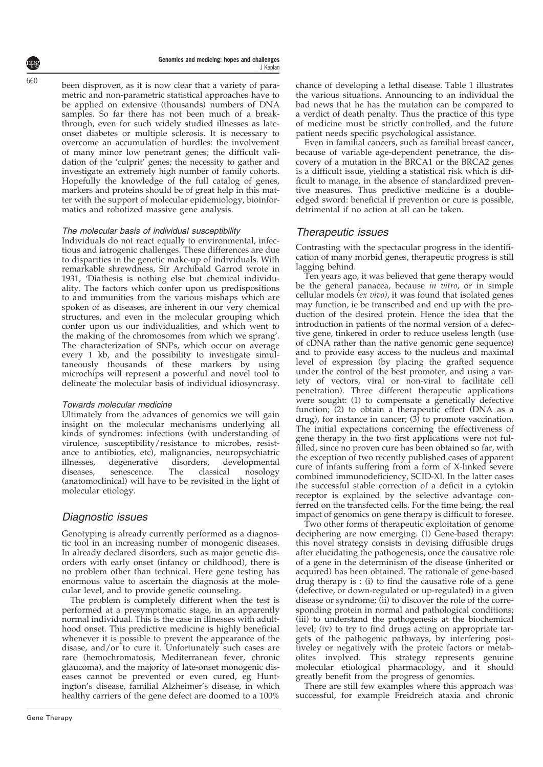**Genomics and medicing: hopes and challenges** J Kaplan

been disproven, as it is now clear that a variety of parametric and non-parametric statistical approaches have to be applied on extensive (thousands) numbers of DNA samples. So far there has not been much of a breakthrough, even for such widely studied illnesses as lateonset diabetes or multiple sclerosis. It is necessary to overcome an accumulation of hurdles: the involvement of many minor low penetrant genes; the difficult validation of the 'culprit' genes; the necessity to gather and investigate an extremely high number of family cohorts. Hopefully the knowledge of the full catalog of genes, markers and proteins should be of great help in this matter with the support of molecular epidemiology, bioinformatics and robotized massive gene analysis.

## The molecular basis of individual susceptibility

Individuals do not react equally to environmental, infectious and iatrogenic challenges. These differences are due to disparities in the genetic make-up of individuals. With remarkable shrewdness, Sir Archibald Garrod wrote in 1931, 'Diathesis is nothing else but chemical individuality. The factors which confer upon us predispositions to and immunities from the various mishaps which are spoken of as diseases, are inherent in our very chemical structures, and even in the molecular grouping which confer upon us our individualities, and which went to the making of the chromosomes from which we sprang'. The characterization of SNPs, which occur on average every 1 kb, and the possibility to investigate simultaneously thousands of these markers by using microchips will represent a powerful and novel tool to delineate the molecular basis of individual idiosyncrasy.

#### Towards molecular medicine

Ultimately from the advances of genomics we will gain insight on the molecular mechanisms underlying all kinds of syndromes: infections (with understanding of virulence, susceptibility/resistance to microbes, resistance to antibiotics, etc), malignancies, neuropsychiatric illnesses, degenerative disorders, developmental diseases, senescence. The classical nosology (anatomoclinical) will have to be revisited in the light of molecular etiology.

# Diagnostic issues

Genotyping is already currently performed as a diagnostic tool in an increasing number of monogenic diseases. In already declared disorders, such as major genetic disorders with early onset (infancy or childhood), there is no problem other than technical. Here gene testing has enormous value to ascertain the diagnosis at the molecular level, and to provide genetic counseling.

The problem is completely different when the test is performed at a presymptomatic stage, in an apparently normal individual. This is the case in illnesses with adulthood onset. This predictive medicine is highly beneficial whenever it is possible to prevent the appearance of the disase, and/or to cure it. Unfortunately such cases are rare (hemochromatosis, Mediterranean fever, chronic glaucoma), and the majority of late-onset monogenic diseases cannot be prevented or even cured, eg Huntington's disease, familial Alzheimer's disease, in which healthy carriers of the gene defect are doomed to a 100%

chance of developing a lethal disease. Table 1 illustrates the various situations. Announcing to an individual the bad news that he has the mutation can be compared to a verdict of death penalty. Thus the practice of this type of medicine must be strictly controlled, and the future patient needs specific psychological assistance.

Even in familial cancers, such as familial breast cancer, because of variable age-dependent penetrance, the discovery of a mutation in the BRCA1 or the BRCA2 genes is a difficult issue, yielding a statistical risk which is difficult to manage, in the absence of standardized preventive measures. Thus predictive medicine is a doubleedged sword: beneficial if prevention or cure is possible, detrimental if no action at all can be taken.

# Therapeutic issues

Contrasting with the spectacular progress in the identification of many morbid genes, therapeutic progress is still lagging behind.

Ten years ago, it was believed that gene therapy would be the general panacea, because *in vitro*, or in simple cellular models (*ex vivo)*, it was found that isolated genes may function, ie be transcribed and end up with the production of the desired protein. Hence the idea that the introduction in patients of the normal version of a defective gene, tinkered in order to reduce useless length (use of cDNA rather than the native genomic gene sequence) and to provide easy access to the nucleus and maximal level of expression (by placing the grafted sequence under the control of the best promoter, and using a variety of vectors, viral or non-viral to facilitate cell penetration). Three different therapeutic applications were sought: (1) to compensate a genetically defective function; (2) to obtain a therapeutic effect (DNA as a drug), for instance in cancer; (3) to promote vaccination. The initial expectations concerning the effectiveness of gene therapy in the two first applications were not fulfilled, since no proven cure has been obtained so far, with the exception of two recently published cases of apparent cure of infants suffering from a form of X-linked severe combined immunodeficiency, SCID-XI. In the latter cases the successful stable correction of a deficit in a cytokin receptor is explained by the selective advantage conferred on the transfected cells. For the time being, the real impact of genomics on gene therapy is difficult to foresee.

Two other forms of therapeutic exploitation of genome deciphering are now emerging. (1) Gene-based therapy: this novel strategy consists in devising diffusible drugs after elucidating the pathogenesis, once the causative role of a gene in the determinism of the disease (inherited or acquired) has been obtained. The rationale of gene-based drug therapy is : (i) to find the causative role of a gene (defective, or down-regulated or up-regulated) in a given disease or syndrome; (ii) to discover the role of the corresponding protein in normal and pathological conditions; (iii) to understand the pathogenesis at the biochemical level; (iv) to try to find drugs acting on appropriate targets of the pathogenic pathways, by interfering positiveley or negatively with the proteic factors or metabolites involved. This strategy represents genuine molecular etiological pharmacology, and it should greatly benefit from the progress of genomics.

There are still few examples where this approach was successful, for example Freidreich ataxia and chronic

660